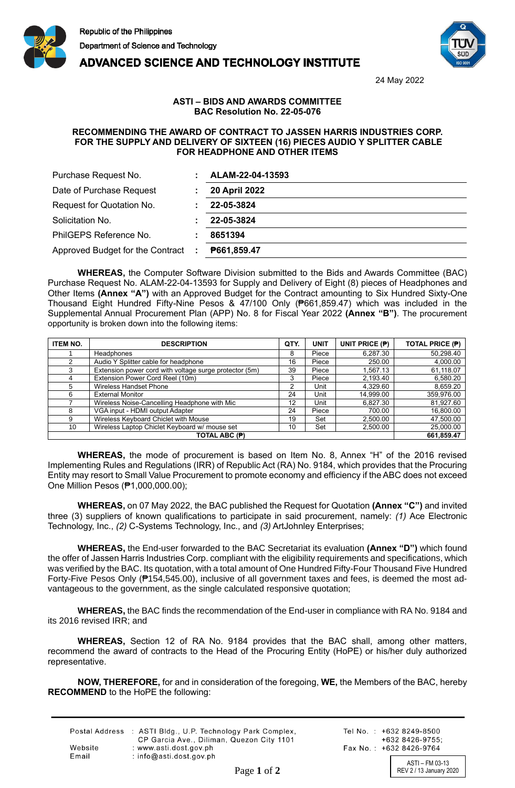





24 May 2022

## **ASTI – BIDS AND AWARDS COMMITTEE BAC Resolution No. 22-05-076**

## **RECOMMENDING THE AWARD OF CONTRACT TO JASSEN HARRIS INDUSTRIES CORP. FOR THE SUPPLY AND DELIVERY OF SIXTEEN (16) PIECES AUDIO Y SPLITTER CABLE FOR HEADPHONE AND OTHER ITEMS**

| Purchase Request No.             | ALAM-22-04-13593     |
|----------------------------------|----------------------|
| Date of Purchase Request         | <b>20 April 2022</b> |
| Request for Quotation No.        | 22-05-3824           |
| Solicitation No.                 | 22-05-3824           |
| PhilGEPS Reference No.           | 8651394              |
| Approved Budget for the Contract | P661,859.47<br>÷     |

**WHEREAS,** the Computer Software Division submitted to the Bids and Awards Committee (BAC) Purchase Request No. ALAM-22-04-13593 for Supply and Delivery of Eight (8) pieces of Headphones and Other Items **(Annex "A")** with an Approved Budget for the Contract amounting to Six Hundred Sixty-One Thousand Eight Hundred Fifty-Nine Pesos & 47/100 Only (₱661,859.47) which was included in the Supplemental Annual Procurement Plan (APP) No. 8 for Fiscal Year 2022 **(Annex "B")**. The procurement opportunity is broken down into the following items:

| <b>ITEM NO.</b> | <b>DESCRIPTION</b>                                     | QTY. | <b>UNIT</b> | UNIT PRICE (P) | <b>TOTAL PRICE (P)</b> |
|-----------------|--------------------------------------------------------|------|-------------|----------------|------------------------|
|                 | <b>Headphones</b>                                      | 8    | Piece       | 6,287.30       | 50,298.40              |
|                 | Audio Y Splitter cable for headphone                   | 16   | Piece       | 250.00         | 4,000.00               |
|                 | Extension power cord with voltage surge protector (5m) | 39   | Piece       | 1.567.13       | 61,118.07              |
| 4               | Extension Power Cord Reel (10m)                        | 3    | Piece       | 2,193.40       | 6,580.20               |
| 5               | Wireless Handset Phone                                 | າ    | Unit        | 4.329.60       | 8,659.20               |
| 6               | <b>External Monitor</b>                                | 24   | Unit        | 14,999.00      | 359,976.00             |
|                 | Wireless Noise-Cancelling Headphone with Mic           | 12   | Unit        | 6.827.30       | 81,927.60              |
| 8               | VGA input - HDMI output Adapter                        | 24   | Piece       | 700.00         | 16,800.00              |
| 9               | Wireless Keyboard Chiclet with Mouse                   | 19   | Set         | 2,500.00       | 47,500.00              |
| 10              | Wireless Laptop Chiclet Keyboard w/ mouse set          | 10   | Set         | 2,500.00       | 25,000.00              |
| TOTAL ABC (P)   |                                                        |      |             | 661,859.47     |                        |

**WHEREAS,** the mode of procurement is based on Item No. 8, Annex "H" of the 2016 revised Implementing Rules and Regulations (IRR) of Republic Act (RA) No. 9184, which provides that the Procuring Entity may resort to Small Value Procurement to promote economy and efficiency if the ABC does not exceed One Million Pesos (₱1,000,000.00);

**WHEREAS,** on 07 May 2022, the BAC published the Request for Quotation **(Annex "C")** and invited three (3) suppliers of known qualifications to participate in said procurement, namely: *(1)* Ace Electronic Technology, Inc., *(2)* C-Systems Technology, Inc., and *(3)* ArtJohnley Enterprises;

**WHEREAS,** the End-user forwarded to the BAC Secretariat its evaluation **(Annex "D")** which found the offer of Jassen Harris Industries Corp. compliant with the eligibility requirements and specifications, which was verified by the BAC. Its quotation, with a total amount of One Hundred Fifty-Four Thousand Five Hundred Forty-Five Pesos Only (₱154,545.00), inclusive of all government taxes and fees, is deemed the most advantageous to the government, as the single calculated responsive quotation;

**WHEREAS,** the BAC finds the recommendation of the End-user in compliance with RA No. 9184 and its 2016 revised IRR; and

**WHEREAS,** Section 12 of RA No. 9184 provides that the BAC shall, among other matters, recommend the award of contracts to the Head of the Procuring Entity (HoPE) or his/her duly authorized representative.

**NOW, THEREFORE,** for and in consideration of the foregoing, **WE,** the Members of the BAC, hereby **RECOMMEND** to the HoPE the following:

|         | Postal Address : ASTI Bldg., U.P. Technology Park Complex,<br>CP Garcia Ave., Diliman, Quezon City 1101 |
|---------|---------------------------------------------------------------------------------------------------------|
| Website | : www.asti.dost.gov.ph                                                                                  |
| Email   | : $info@asti.dost.aov.sh$                                                                               |

Tel No.: +632 8249-8500  $+6328426-9755$ Fax No.: +632 8426-9764

ASTI – FM 03-13 Page 1 of 2 REV 2 / 13 January 2020